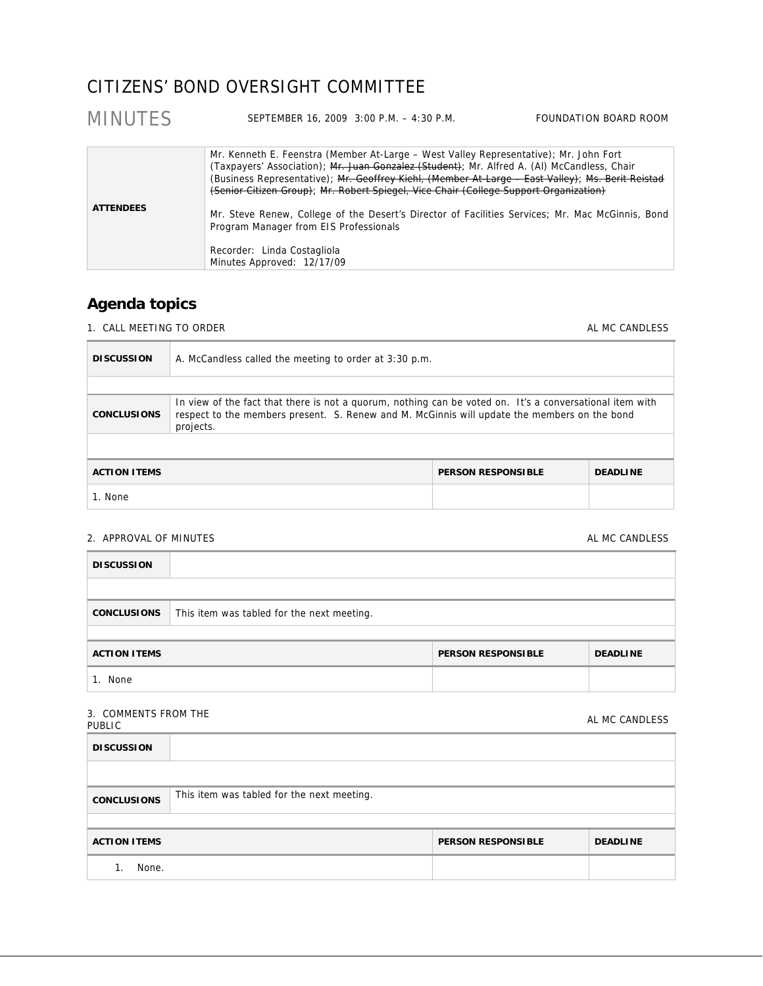# CITIZENS' BOND OVERSIGHT COMMITTEE

| <b>MINUTES</b>   | SEPTEMBER 16, 2009 3:00 P.M. - 4:30 P.M.                                                                                                                                                                                                                                                                                                                                                                                                                                                                                                                                                      | FOUNDATION BOARD ROOM |
|------------------|-----------------------------------------------------------------------------------------------------------------------------------------------------------------------------------------------------------------------------------------------------------------------------------------------------------------------------------------------------------------------------------------------------------------------------------------------------------------------------------------------------------------------------------------------------------------------------------------------|-----------------------|
| <b>ATTENDEES</b> | Mr. Kenneth E. Feenstra (Member At-Large - West Valley Representative); Mr. John Fort<br>(Taxpayers' Association); Mr. Juan Gonzalez (Student); Mr. Alfred A. (Al) McCandless, Chair<br>(Business Representative); Mr. Geoffrey Kiehl, (Member At-Large - East Valley); Ms. Berit Reistad<br>(Senior Citizen Group); Mr. Robert Spiegel, Vice Chair (College Support Organization)<br>Mr. Steve Renew, College of the Desert's Director of Facilities Services; Mr. Mac McGinnis, Bond<br>Program Manager from EIS Professionals<br>Recorder: Linda Costagliola<br>Minutes Approved: 12/17/09 |                       |

## **Agenda topics**

1. CALL MEETING TO ORDER AL MC CANDLESS

| <b>DISCUSSION</b>                                                                                                                                                                                                                           | A. McCandless called the meeting to order at 3:30 p.m. |  |  |
|---------------------------------------------------------------------------------------------------------------------------------------------------------------------------------------------------------------------------------------------|--------------------------------------------------------|--|--|
|                                                                                                                                                                                                                                             |                                                        |  |  |
| In view of the fact that there is not a quorum, nothing can be voted on. It's a conversational item with<br>respect to the members present. S. Renew and M. McGinnis will update the members on the bond<br><b>CONCLUSIONS</b><br>projects. |                                                        |  |  |
|                                                                                                                                                                                                                                             |                                                        |  |  |
| <b>ACTION ITEMS</b><br><b>PERSON RESPONSIBLE</b><br><b>DEADLINE</b>                                                                                                                                                                         |                                                        |  |  |
| 1. None                                                                                                                                                                                                                                     |                                                        |  |  |

## 2. APPROVAL OF MINUTES AL MC CANDESS AL MC CANDLESS AL MC CANDLESS

| <b>DISCUSSION</b>   |                                            |                           |                 |
|---------------------|--------------------------------------------|---------------------------|-----------------|
| <b>CONCLUSIONS</b>  | This item was tabled for the next meeting. |                           |                 |
| <b>ACTION ITEMS</b> |                                            | <b>PERSON RESPONSIBLE</b> | <b>DEADLINE</b> |
| 1. None             |                                            |                           |                 |

| 3. COMMENTS FROM THE<br>PUBLIC | AL MC CANDLESS |
|--------------------------------|----------------|
| <b>DISCUSSION</b>              |                |
|                                |                |

| <b>CONCLUSIONS</b>  | This item was tabled for the next meeting. |                           |                 |
|---------------------|--------------------------------------------|---------------------------|-----------------|
|                     |                                            |                           |                 |
| <b>ACTION ITEMS</b> |                                            | <b>PERSON RESPONSIBLE</b> | <b>DEADLINE</b> |
| None.               |                                            |                           |                 |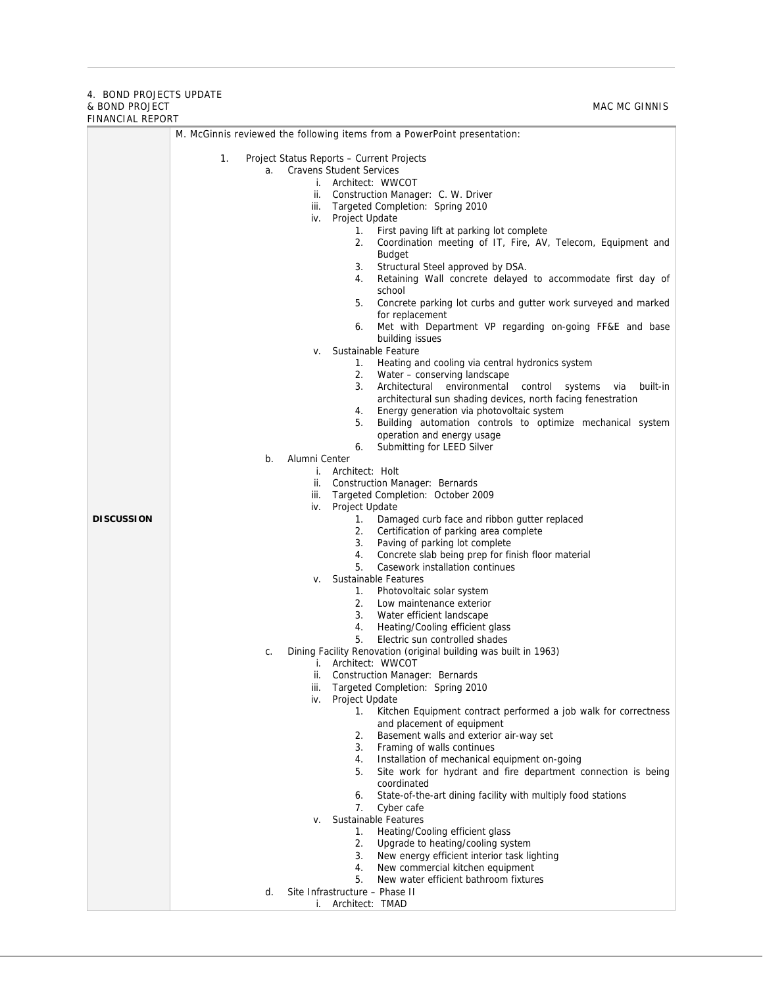### 4. BOND PROJECTS UPDATE & BOND PROJECT FINANCIAL REPORT

| FINANCIAL REPORT  |                                                                                                     |  |  |
|-------------------|-----------------------------------------------------------------------------------------------------|--|--|
|                   | M. McGinnis reviewed the following items from a PowerPoint presentation:                            |  |  |
|                   | 1.<br>Project Status Reports – Current Projects                                                     |  |  |
|                   | <b>Cravens Student Services</b><br>a.                                                               |  |  |
|                   | i. Architect: WWCOT                                                                                 |  |  |
|                   | ii. Construction Manager: C. W. Driver                                                              |  |  |
|                   | iii. Targeted Completion: Spring 2010                                                               |  |  |
|                   | iv. Project Update                                                                                  |  |  |
|                   | 1.<br>First paving lift at parking lot complete                                                     |  |  |
|                   | Coordination meeting of IT, Fire, AV, Telecom, Equipment and<br>2.                                  |  |  |
|                   | <b>Budget</b><br>3.<br>Structural Steel approved by DSA.                                            |  |  |
|                   | 4.<br>Retaining Wall concrete delayed to accommodate first day of                                   |  |  |
|                   | school                                                                                              |  |  |
|                   | 5.<br>Concrete parking lot curbs and gutter work surveyed and marked                                |  |  |
|                   | for replacement                                                                                     |  |  |
|                   | Met with Department VP regarding on-going FF&E and base<br>6.                                       |  |  |
|                   | building issues                                                                                     |  |  |
|                   | Sustainable Feature<br>v.<br>Heating and cooling via central hydronics system<br>1.                 |  |  |
|                   | 2.<br>Water - conserving landscape                                                                  |  |  |
|                   | 3.<br>Architectural environmental<br>control<br>systems<br>built-in<br>via                          |  |  |
|                   | architectural sun shading devices, north facing fenestration                                        |  |  |
|                   | Energy generation via photovoltaic system<br>4.                                                     |  |  |
|                   | Building automation controls to optimize mechanical system<br>5.                                    |  |  |
|                   | operation and energy usage                                                                          |  |  |
|                   | 6.<br>Submitting for LEED Silver<br>Alumni Center<br>b.                                             |  |  |
|                   | i. Architect: Holt                                                                                  |  |  |
|                   | ii. Construction Manager: Bernards                                                                  |  |  |
|                   | iii. Targeted Completion: October 2009                                                              |  |  |
|                   | Project Update<br>iv.                                                                               |  |  |
| <b>DISCUSSION</b> | Damaged curb face and ribbon gutter replaced<br>1.                                                  |  |  |
|                   | Certification of parking area complete<br>2.<br>Paving of parking lot complete<br>3.                |  |  |
|                   | Concrete slab being prep for finish floor material<br>4.                                            |  |  |
|                   | 5.<br>Casework installation continues                                                               |  |  |
|                   | Sustainable Features<br>v.                                                                          |  |  |
|                   | 1.<br>Photovoltaic solar system                                                                     |  |  |
|                   | 2.<br>Low maintenance exterior                                                                      |  |  |
|                   | 3.<br>Water efficient landscape<br>4.                                                               |  |  |
|                   | Heating/Cooling efficient glass<br>5.<br>Electric sun controlled shades                             |  |  |
|                   | Dining Facility Renovation (original building was built in 1963)<br>C.                              |  |  |
|                   | i. Architect: WWCOT                                                                                 |  |  |
|                   | ii.<br><b>Construction Manager: Bernards</b>                                                        |  |  |
|                   | Targeted Completion: Spring 2010<br>iii.                                                            |  |  |
|                   | Project Update<br>iv.                                                                               |  |  |
|                   | Kitchen Equipment contract performed a job walk for correctness<br>1.<br>and placement of equipment |  |  |
|                   | Basement walls and exterior air-way set<br>2.                                                       |  |  |
|                   | 3.<br>Framing of walls continues                                                                    |  |  |
|                   | Installation of mechanical equipment on-going<br>4.                                                 |  |  |
|                   | Site work for hydrant and fire department connection is being<br>5.                                 |  |  |
|                   | coordinated                                                                                         |  |  |
|                   | State-of-the-art dining facility with multiply food stations<br>6.<br>7.<br>Cyber cafe              |  |  |
|                   | Sustainable Features<br>V.                                                                          |  |  |
|                   | Heating/Cooling efficient glass<br>1.                                                               |  |  |
|                   | 2.<br>Upgrade to heating/cooling system                                                             |  |  |
|                   | New energy efficient interior task lighting<br>3.                                                   |  |  |
|                   | New commercial kitchen equipment<br>4.                                                              |  |  |
|                   | New water efficient bathroom fixtures<br>5.<br>Site Infrastructure - Phase II                       |  |  |
|                   | d.<br>i. Architect: TMAD                                                                            |  |  |
|                   |                                                                                                     |  |  |

MAC MC GINNIS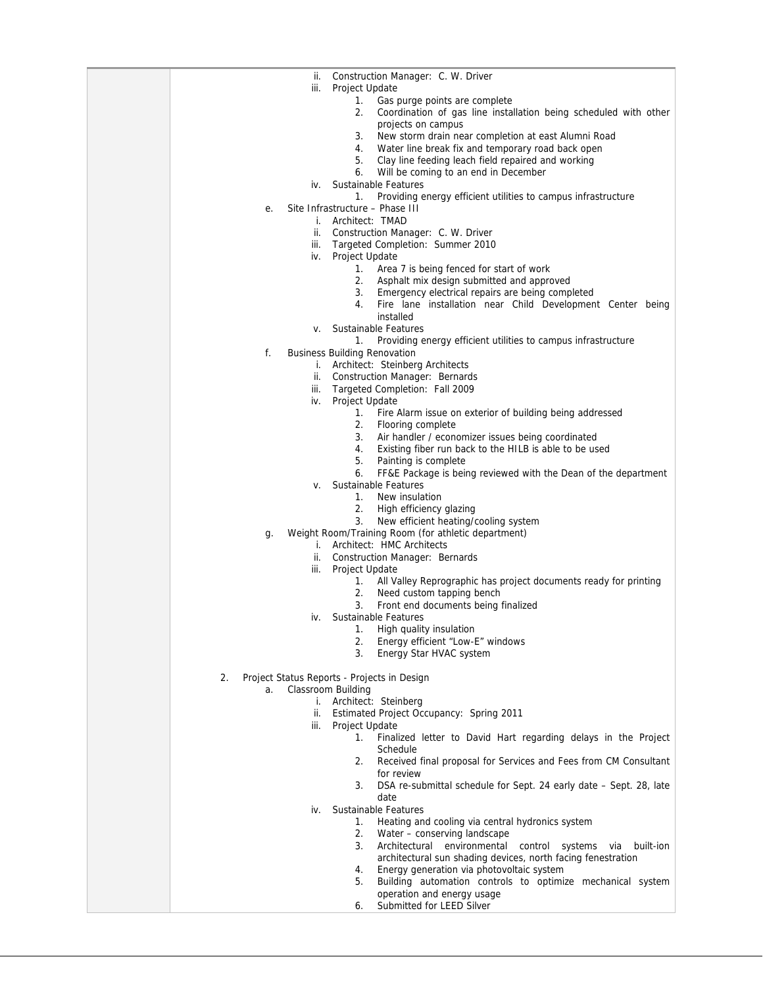| Construction Manager: C. W. Driver<br>ii.                                                                           |
|---------------------------------------------------------------------------------------------------------------------|
| iii.<br>Project Update                                                                                              |
| 1.<br>Gas purge points are complete                                                                                 |
| 2.<br>Coordination of gas line installation being scheduled with other                                              |
| projects on campus                                                                                                  |
| 3.<br>New storm drain near completion at east Alumni Road                                                           |
| Water line break fix and temporary road back open<br>4.<br>Clay line feeding leach field repaired and working<br>5. |
| Will be coming to an end in December<br>6.                                                                          |
| Sustainable Features<br>iv.                                                                                         |
| Providing energy efficient utilities to campus infrastructure<br>1.                                                 |
| Site Infrastructure - Phase III<br>е.                                                                               |
| i. Architect: TMAD                                                                                                  |
| Construction Manager: C. W. Driver<br>ii.                                                                           |
| Targeted Completion: Summer 2010<br>iii.                                                                            |
| Project Update<br>iv.                                                                                               |
| 1.<br>Area 7 is being fenced for start of work                                                                      |
| 2.<br>Asphalt mix design submitted and approved<br>Emergency electrical repairs are being completed<br>3.           |
| Fire lane installation near Child Development Center being<br>4.                                                    |
| installed                                                                                                           |
| v. Sustainable Features                                                                                             |
| Providing energy efficient utilities to campus infrastructure<br>1.                                                 |
| f.<br><b>Business Building Renovation</b>                                                                           |
| i. Architect: Steinberg Architects                                                                                  |
| <b>Construction Manager: Bernards</b><br>ii.                                                                        |
| iii.<br>Targeted Completion: Fall 2009                                                                              |
| Project Update<br>iv.                                                                                               |
| 1.<br>Fire Alarm issue on exterior of building being addressed<br>2.<br>Flooring complete                           |
| 3.<br>Air handler / economizer issues being coordinated                                                             |
| 4.<br>Existing fiber run back to the HILB is able to be used                                                        |
| 5.<br>Painting is complete                                                                                          |
| FF&E Package is being reviewed with the Dean of the department<br>6.                                                |
| Sustainable Features<br>۷.                                                                                          |
| New insulation<br>1.                                                                                                |
| 2.<br>High efficiency glazing                                                                                       |
| 3.<br>New efficient heating/cooling system                                                                          |
| Weight Room/Training Room (for athletic department)<br>g.<br>i. Architect: HMC Architects                           |
| Construction Manager: Bernards<br>ii.                                                                               |
| Project Update<br>iii.                                                                                              |
| 1.<br>All Valley Reprographic has project documents ready for printing                                              |
| 2.<br>Need custom tapping bench                                                                                     |
| Front end documents being finalized<br>3.                                                                           |
| iv. Sustainable Features                                                                                            |
| 1.<br>High quality insulation                                                                                       |
| 2.<br>Energy efficient "Low-E" windows<br>3.<br>Energy Star HVAC system                                             |
|                                                                                                                     |
| 2.<br>Project Status Reports - Projects in Design                                                                   |
| Classroom Building<br>a.                                                                                            |
| i. Architect: Steinberg                                                                                             |
| Estimated Project Occupancy: Spring 2011<br>ii.                                                                     |
| iii.<br>Project Update                                                                                              |
| $1_{\cdot}$<br>Finalized letter to David Hart regarding delays in the Project<br>Schedule                           |
| 2.<br>Received final proposal for Services and Fees from CM Consultant                                              |
| for review                                                                                                          |
| DSA re-submittal schedule for Sept. 24 early date - Sept. 28, late<br>3.                                            |
| date                                                                                                                |
| Sustainable Features<br>iv.                                                                                         |
| Heating and cooling via central hydronics system<br>1.                                                              |
| 2.<br>Water - conserving landscape                                                                                  |
| 3.<br>Architectural environmental control systems via built-ion                                                     |
| architectural sun shading devices, north facing fenestration                                                        |
| Energy generation via photovoltaic system<br>4.<br>Building automation controls to optimize mechanical system<br>5. |
| operation and energy usage                                                                                          |
| Submitted for LEED Silver<br>6.                                                                                     |
|                                                                                                                     |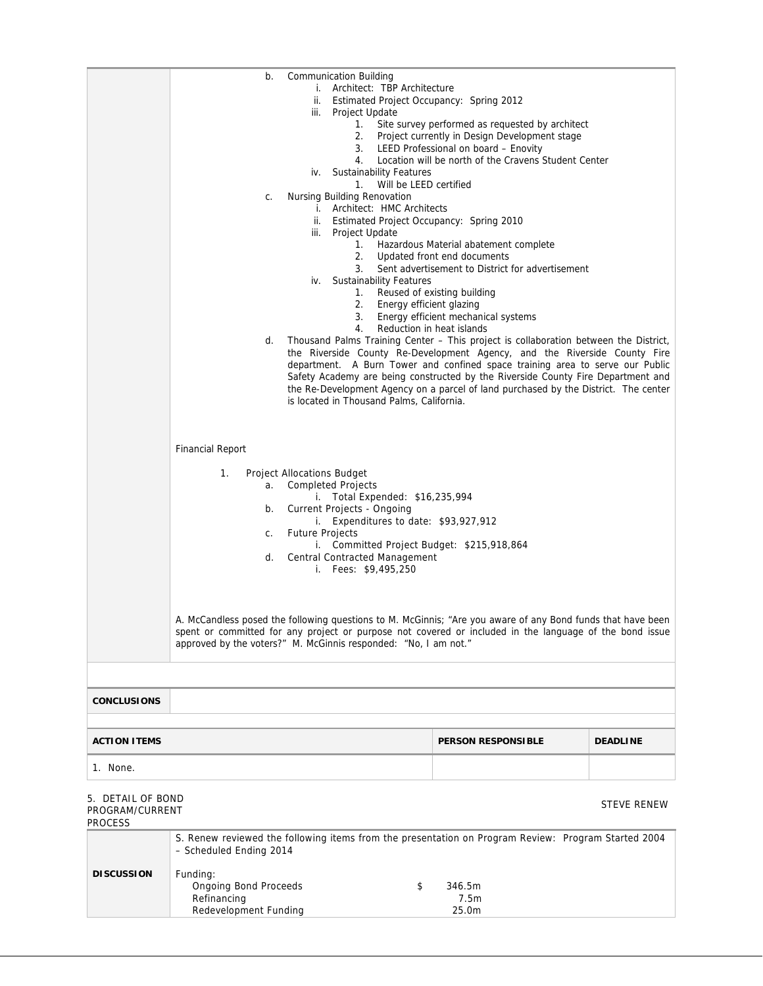|                                                 | b.                                                                               | <b>Communication Building</b>                                                                                                 | i. Architect: TBP Architecture<br>iii. Project Update<br>1.<br>iv. Sustainability Features<br>Will be LEED certified<br>$1_{\cdot}$                                            | ii. Estimated Project Occupancy: Spring 2012<br>Site survey performed as requested by architect<br>2. Project currently in Design Development stage<br>3. LEED Professional on board - Enovity<br>4. Location will be north of the Cravens Student Center |                                                                                                                                                                                                                                                                                                                                                                                                                               |
|-------------------------------------------------|----------------------------------------------------------------------------------|-------------------------------------------------------------------------------------------------------------------------------|--------------------------------------------------------------------------------------------------------------------------------------------------------------------------------|-----------------------------------------------------------------------------------------------------------------------------------------------------------------------------------------------------------------------------------------------------------|-------------------------------------------------------------------------------------------------------------------------------------------------------------------------------------------------------------------------------------------------------------------------------------------------------------------------------------------------------------------------------------------------------------------------------|
|                                                 | C.                                                                               | Nursing Building Renovation<br>iv.                                                                                            | i. Architect: HMC Architects<br>iii. Project Update<br>1.<br>2.<br>3.<br><b>Sustainability Features</b><br>1. Reused of existing building<br>2. Energy efficient glazing<br>4. | ii. Estimated Project Occupancy: Spring 2010<br>Hazardous Material abatement complete<br>Updated front end documents<br>Sent advertisement to District for advertisement<br>3. Energy efficient mechanical systems<br>Reduction in heat islands           |                                                                                                                                                                                                                                                                                                                                                                                                                               |
|                                                 | d.                                                                               |                                                                                                                               | is located in Thousand Palms, California.                                                                                                                                      |                                                                                                                                                                                                                                                           | Thousand Palms Training Center - This project is collaboration between the District,<br>the Riverside County Re-Development Agency, and the Riverside County Fire<br>department. A Burn Tower and confined space training area to serve our Public<br>Safety Academy are being constructed by the Riverside County Fire Department and<br>the Re-Development Agency on a parcel of land purchased by the District. The center |
|                                                 | <b>Financial Report</b>                                                          |                                                                                                                               |                                                                                                                                                                                |                                                                                                                                                                                                                                                           |                                                                                                                                                                                                                                                                                                                                                                                                                               |
|                                                 | 1.<br>a.<br>b.<br>C.<br>d.                                                       | <b>Project Allocations Budget</b><br><b>Completed Projects</b><br><b>Current Projects - Ongoing</b><br><b>Future Projects</b> | i. Total Expended: \$16,235,994<br>i. Expenditures to date: \$93,927,912<br><b>Central Contracted Management</b><br>i. Fees: \$9,495,250                                       | i. Committed Project Budget: \$215,918,864                                                                                                                                                                                                                |                                                                                                                                                                                                                                                                                                                                                                                                                               |
|                                                 | approved by the voters?" M. McGinnis responded: "No, I am not."                  |                                                                                                                               |                                                                                                                                                                                |                                                                                                                                                                                                                                                           | A. McCandless posed the following questions to M. McGinnis; "Are you aware of any Bond funds that have been<br>spent or committed for any project or purpose not covered or included in the language of the bond issue                                                                                                                                                                                                        |
| <b>CONCLUSIONS</b>                              |                                                                                  |                                                                                                                               |                                                                                                                                                                                |                                                                                                                                                                                                                                                           |                                                                                                                                                                                                                                                                                                                                                                                                                               |
| <b>ACTION ITEMS</b>                             |                                                                                  |                                                                                                                               |                                                                                                                                                                                | <b>PERSON RESPONSIBLE</b>                                                                                                                                                                                                                                 | <b>DEADLINE</b>                                                                                                                                                                                                                                                                                                                                                                                                               |
| 1. None.                                        |                                                                                  |                                                                                                                               |                                                                                                                                                                                |                                                                                                                                                                                                                                                           |                                                                                                                                                                                                                                                                                                                                                                                                                               |
| 5. DETAIL OF BOND<br>PROGRAM/CURRENT<br>PROCESS |                                                                                  |                                                                                                                               |                                                                                                                                                                                |                                                                                                                                                                                                                                                           | STEVE RENEW                                                                                                                                                                                                                                                                                                                                                                                                                   |
|                                                 | - Scheduled Ending 2014                                                          |                                                                                                                               |                                                                                                                                                                                | S. Renew reviewed the following items from the presentation on Program Review: Program Started 2004                                                                                                                                                       |                                                                                                                                                                                                                                                                                                                                                                                                                               |
| <b>DISCUSSION</b>                               | Funding:<br><b>Ongoing Bond Proceeds</b><br>Refinancing<br>Redevelopment Funding |                                                                                                                               | \$                                                                                                                                                                             | 346.5m<br>7.5m<br>25.0m                                                                                                                                                                                                                                   |                                                                                                                                                                                                                                                                                                                                                                                                                               |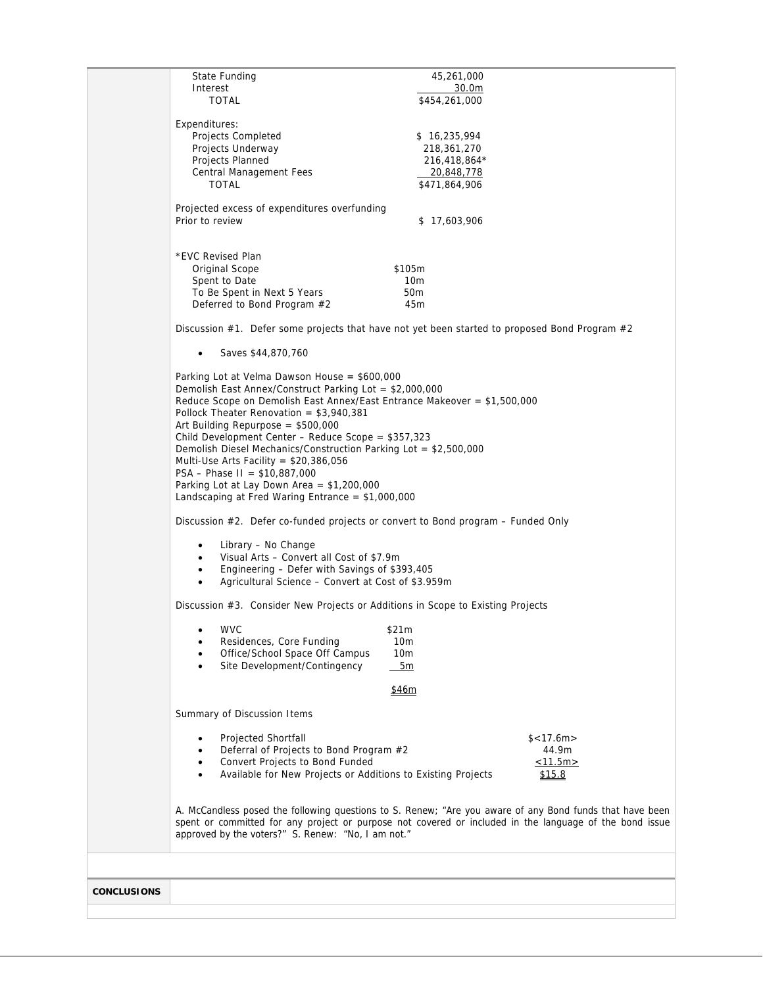|                    | State Funding                                                                    | 45,261,000                                                                                               |
|--------------------|----------------------------------------------------------------------------------|----------------------------------------------------------------------------------------------------------|
|                    | Interest                                                                         | 30.0m                                                                                                    |
|                    | <b>TOTAL</b>                                                                     | \$454,261,000                                                                                            |
|                    |                                                                                  |                                                                                                          |
|                    | Expenditures:                                                                    |                                                                                                          |
|                    | <b>Projects Completed</b>                                                        | \$16,235,994                                                                                             |
|                    | Projects Underway                                                                | 218,361,270                                                                                              |
|                    | Projects Planned                                                                 | 216,418,864*                                                                                             |
|                    | Central Management Fees                                                          | <u>20,848,778</u>                                                                                        |
|                    | <b>TOTAL</b>                                                                     | \$471,864,906                                                                                            |
|                    |                                                                                  |                                                                                                          |
|                    | Projected excess of expenditures overfunding                                     |                                                                                                          |
|                    |                                                                                  |                                                                                                          |
|                    | Prior to review                                                                  | \$17,603,906                                                                                             |
|                    |                                                                                  |                                                                                                          |
|                    |                                                                                  |                                                                                                          |
|                    | *EVC Revised Plan                                                                |                                                                                                          |
|                    | Original Scope                                                                   | \$105m                                                                                                   |
|                    | Spent to Date                                                                    | 10 <sub>m</sub>                                                                                          |
|                    | To Be Spent in Next 5 Years                                                      | 50 <sub>m</sub>                                                                                          |
|                    | Deferred to Bond Program #2                                                      | 45m                                                                                                      |
|                    |                                                                                  |                                                                                                          |
|                    |                                                                                  | Discussion #1. Defer some projects that have not yet been started to proposed Bond Program #2            |
|                    | Saves \$44,870,760<br>$\bullet$                                                  |                                                                                                          |
|                    |                                                                                  |                                                                                                          |
|                    | Parking Lot at Velma Dawson House = \$600,000                                    |                                                                                                          |
|                    | Demolish East Annex/Construct Parking Lot = $$2,000,000$                         |                                                                                                          |
|                    | Reduce Scope on Demolish East Annex/East Entrance Makeover = \$1,500,000         |                                                                                                          |
|                    | Pollock Theater Renovation = $$3,940,381$                                        |                                                                                                          |
|                    | Art Building Repurpose = $$500,000$                                              |                                                                                                          |
|                    | Child Development Center - Reduce Scope = $$357,323$                             |                                                                                                          |
|                    | Demolish Diesel Mechanics/Construction Parking Lot = $$2,500,000$                |                                                                                                          |
|                    | Multi-Use Arts Facility = $$20,386,056$                                          |                                                                                                          |
|                    | PSA - Phase II = $$10,887,000$                                                   |                                                                                                          |
|                    |                                                                                  |                                                                                                          |
|                    | Parking Lot at Lay Down Area = $$1,200,000$                                      |                                                                                                          |
|                    | Landscaping at Fred Waring Entrance = $$1,000,000$                               |                                                                                                          |
|                    | Discussion #2. Defer co-funded projects or convert to Bond program – Funded Only |                                                                                                          |
|                    |                                                                                  |                                                                                                          |
|                    | Library - No Change<br>٠                                                         |                                                                                                          |
|                    | Visual Arts – Convert all Cost of \$7.9m                                         |                                                                                                          |
|                    | Engineering - Defer with Savings of \$393,405<br>$\bullet$                       |                                                                                                          |
|                    | Agricultural Science - Convert at Cost of \$3.959m                               |                                                                                                          |
|                    | Discussion #3. Consider New Projects or Additions in Scope to Existing Projects  |                                                                                                          |
|                    |                                                                                  |                                                                                                          |
|                    | <b>WVC</b>                                                                       | \$21m                                                                                                    |
|                    | Residences, Core Funding                                                         | 10 <sub>m</sub>                                                                                          |
|                    | Office/School Space Off Campus                                                   | 10 <sub>m</sub>                                                                                          |
|                    | Site Development/Contingency                                                     | 5m                                                                                                       |
|                    |                                                                                  |                                                                                                          |
|                    |                                                                                  | \$46m                                                                                                    |
|                    |                                                                                  |                                                                                                          |
|                    | Summary of Discussion Items                                                      |                                                                                                          |
|                    | <b>Projected Shortfall</b>                                                       | \$< 17.6m>                                                                                               |
|                    | Deferral of Projects to Bond Program #2                                          | 44.9m                                                                                                    |
|                    |                                                                                  |                                                                                                          |
|                    | Convert Projects to Bond Funded                                                  | <u>&lt;11.5m&gt;</u>                                                                                     |
|                    | Available for New Projects or Additions to Existing Projects                     | \$15.8                                                                                                   |
|                    |                                                                                  |                                                                                                          |
|                    |                                                                                  |                                                                                                          |
|                    |                                                                                  | A. McCandless posed the following questions to S. Renew; "Are you aware of any Bond funds that have been |
|                    |                                                                                  | spent or committed for any project or purpose not covered or included in the language of the bond issue  |
|                    | approved by the voters?" S. Renew: "No, I am not."                               |                                                                                                          |
|                    |                                                                                  |                                                                                                          |
|                    |                                                                                  |                                                                                                          |
|                    |                                                                                  |                                                                                                          |
|                    |                                                                                  |                                                                                                          |
| <b>CONCLUSIONS</b> |                                                                                  |                                                                                                          |
|                    |                                                                                  |                                                                                                          |